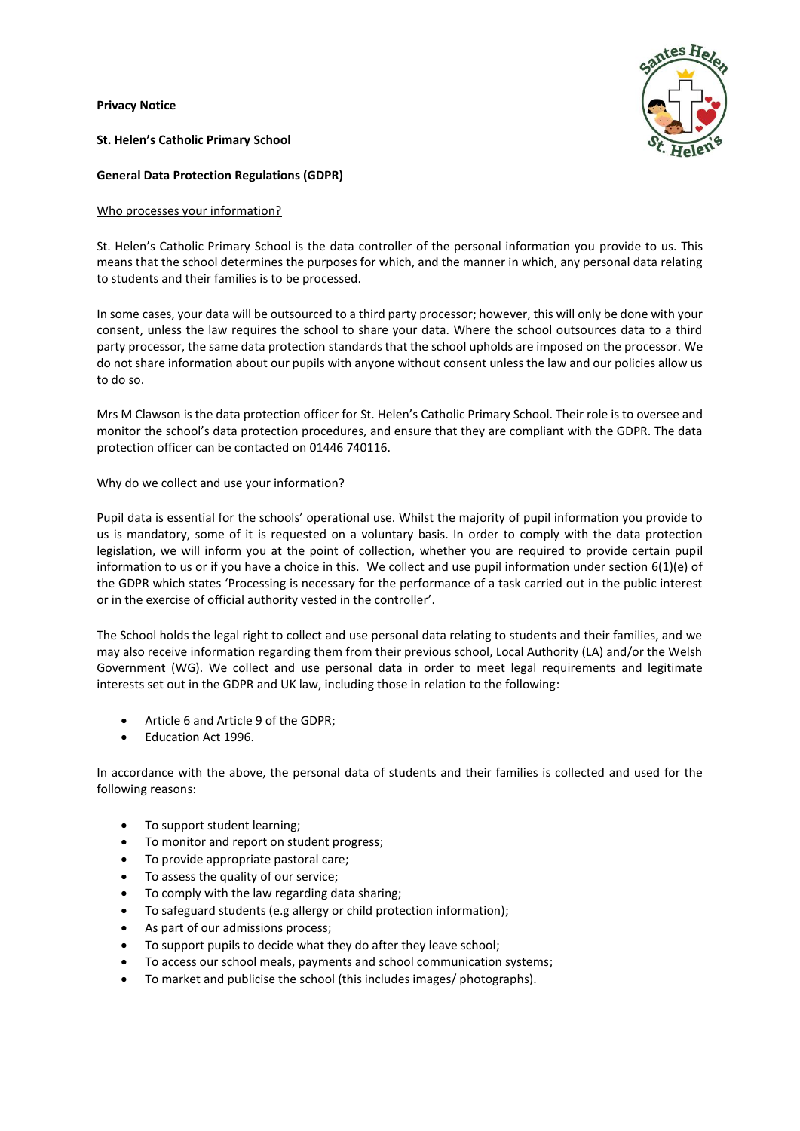**Privacy Notice** 



**St. Helen's Catholic Primary School**

# **General Data Protection Regulations (GDPR)**

## Who processes your information?

St. Helen's Catholic Primary School is the data controller of the personal information you provide to us. This means that the school determines the purposes for which, and the manner in which, any personal data relating to students and their families is to be processed.

In some cases, your data will be outsourced to a third party processor; however, this will only be done with your consent, unless the law requires the school to share your data. Where the school outsources data to a third party processor, the same data protection standards that the school upholds are imposed on the processor. We do not share information about our pupils with anyone without consent unless the law and our policies allow us to do so.

Mrs M Clawson is the data protection officer for St. Helen's Catholic Primary School. Their role is to oversee and monitor the school's data protection procedures, and ensure that they are compliant with the GDPR. The data protection officer can be contacted on 01446 740116.

## Why do we collect and use your information?

Pupil data is essential for the schools' operational use. Whilst the majority of pupil information you provide to us is mandatory, some of it is requested on a voluntary basis. In order to comply with the data protection legislation, we will inform you at the point of collection, whether you are required to provide certain pupil information to us or if you have a choice in this. We collect and use pupil information under section 6(1)(e) of the GDPR which states 'Processing is necessary for the performance of a task carried out in the public interest or in the exercise of official authority vested in the controller'.

The School holds the legal right to collect and use personal data relating to students and their families, and we may also receive information regarding them from their previous school, Local Authority (LA) and/or the Welsh Government (WG). We collect and use personal data in order to meet legal requirements and legitimate interests set out in the GDPR and UK law, including those in relation to the following:

- Article 6 and Article 9 of the GDPR;
- Education Act 1996.

In accordance with the above, the personal data of students and their families is collected and used for the following reasons:

- To support student learning;
- To monitor and report on student progress;
- To provide appropriate pastoral care;
- To assess the quality of our service;
- To comply with the law regarding data sharing;
- To safeguard students (e.g allergy or child protection information);
- As part of our admissions process;
- To support pupils to decide what they do after they leave school;
- To access our school meals, payments and school communication systems;
- To market and publicise the school (this includes images/ photographs).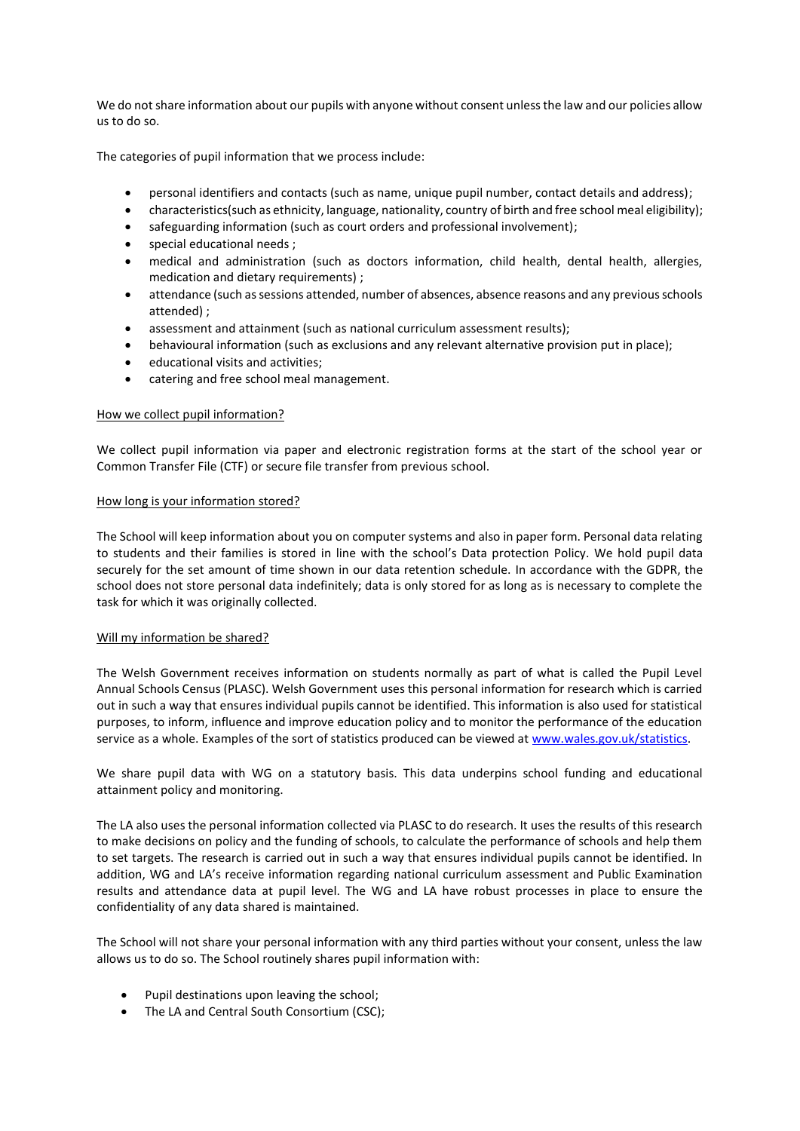We do not share information about our pupils with anyone without consent unless the law and our policies allow us to do so.

The categories of pupil information that we process include:

- personal identifiers and contacts (such as name, unique pupil number, contact details and address);
- characteristics(such as ethnicity, language, nationality, country of birth and free school meal eligibility);
- safeguarding information (such as court orders and professional involvement);
- special educational needs ;
- medical and administration (such as doctors information, child health, dental health, allergies, medication and dietary requirements) ;
- attendance (such as sessions attended, number of absences, absence reasons and any previous schools attended) ;
- assessment and attainment (such as national curriculum assessment results);
- behavioural information (such as exclusions and any relevant alternative provision put in place);
- educational visits and activities;
- catering and free school meal management.

## How we collect pupil information?

We collect pupil information via paper and electronic registration forms at the start of the school year or Common Transfer File (CTF) or secure file transfer from previous school.

### How long is your information stored?

The School will keep information about you on computer systems and also in paper form. Personal data relating to students and their families is stored in line with the school's Data protection Policy. We hold pupil data securely for the set amount of time shown in our data retention schedule. In accordance with the GDPR, the school does not store personal data indefinitely; data is only stored for as long as is necessary to complete the task for which it was originally collected.

## Will my information be shared?

The Welsh Government receives information on students normally as part of what is called the Pupil Level Annual Schools Census (PLASC). Welsh Government uses this personal information for research which is carried out in such a way that ensures individual pupils cannot be identified. This information is also used for statistical purposes, to inform, influence and improve education policy and to monitor the performance of the education service as a whole. Examples of the sort of statistics produced can be viewed at [www.wales.gov.uk/statistics.](http://www.wales.gov.uk/statistics)

We share pupil data with WG on a statutory basis. This data underpins school funding and educational attainment policy and monitoring.

The LA also uses the personal information collected via PLASC to do research. It uses the results of this research to make decisions on policy and the funding of schools, to calculate the performance of schools and help them to set targets. The research is carried out in such a way that ensures individual pupils cannot be identified. In addition, WG and LA's receive information regarding national curriculum assessment and Public Examination results and attendance data at pupil level. The WG and LA have robust processes in place to ensure the confidentiality of any data shared is maintained.

The School will not share your personal information with any third parties without your consent, unless the law allows us to do so. The School routinely shares pupil information with:

- Pupil destinations upon leaving the school;
- The LA and Central South Consortium (CSC);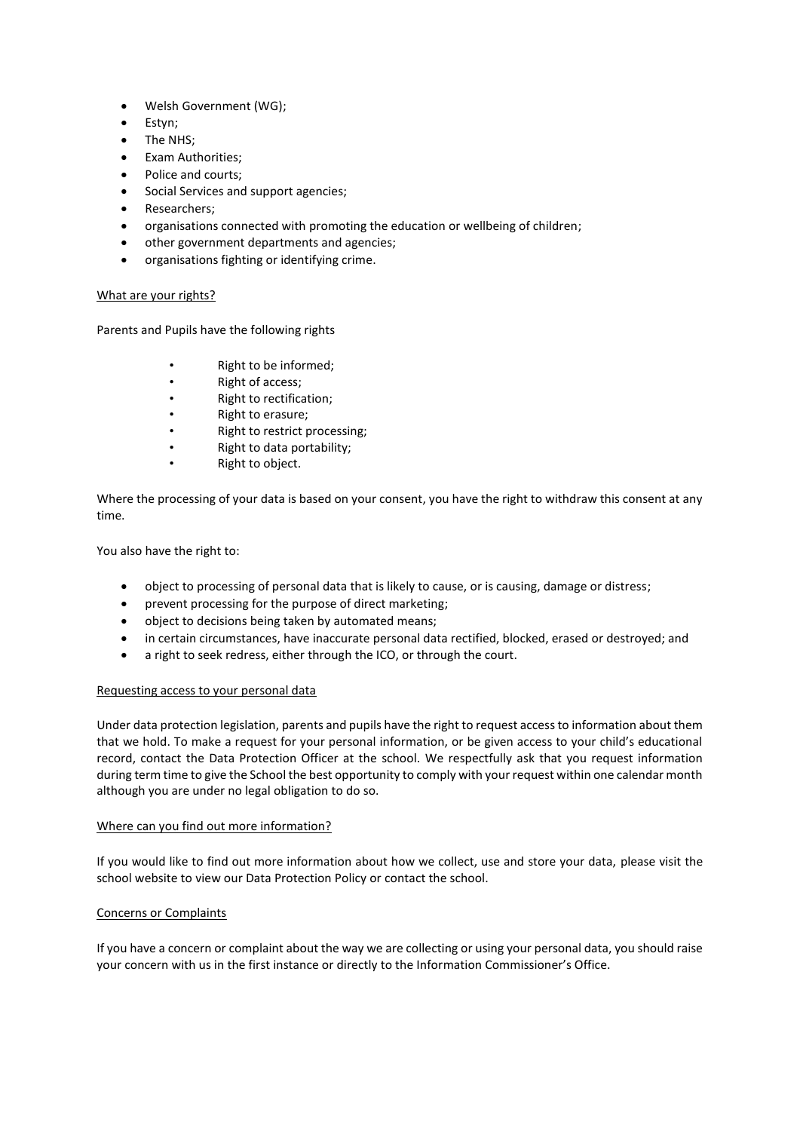- Welsh Government (WG);
- Estyn;
- The NHS;
- Exam Authorities;
- Police and courts;
- Social Services and support agencies;
- Researchers;
- organisations connected with promoting the education or wellbeing of children;
- other government departments and agencies;
- organisations fighting or identifying crime.

### What are your rights?

Parents and Pupils have the following rights

- Right to be informed;
- Right of access;
- Right to rectification;
- Right to erasure;
- Right to restrict processing;
- Right to data portability;
- Right to object.

Where the processing of your data is based on your consent, you have the right to withdraw this consent at any time.

You also have the right to:

- object to processing of personal data that is likely to cause, or is causing, damage or distress;
- prevent processing for the purpose of direct marketing;
- object to decisions being taken by automated means;
- in certain circumstances, have inaccurate personal data rectified, blocked, erased or destroyed; and
- a right to seek redress, either through the ICO, or through the court.

## Requesting access to your personal data

Under data protection legislation, parents and pupils have the right to request access to information about them that we hold. To make a request for your personal information, or be given access to your child's educational record, contact the Data Protection Officer at the school. We respectfully ask that you request information during term time to give the School the best opportunity to comply with your request within one calendar month although you are under no legal obligation to do so.

#### Where can you find out more information?

If you would like to find out more information about how we collect, use and store your data, please visit the school website to view our Data Protection Policy or contact the school.

## Concerns or Complaints

If you have a concern or complaint about the way we are collecting or using your personal data, you should raise your concern with us in the first instance or directly to the Information Commissioner's Office.